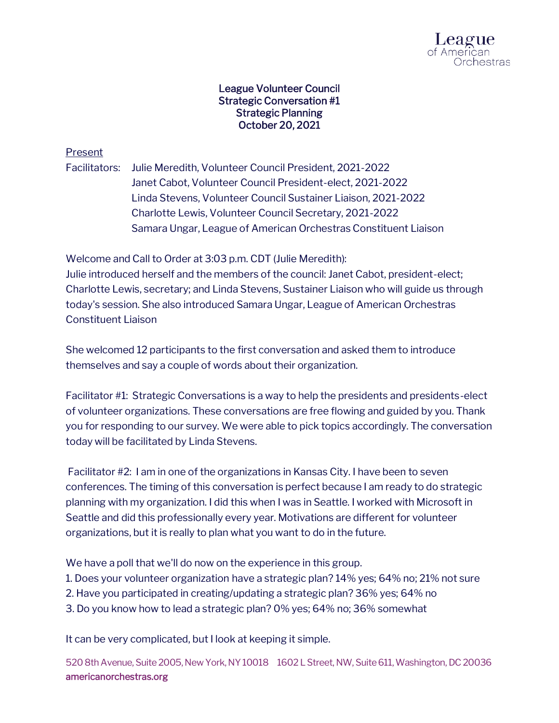

## League Volunteer Council Strategic Conversation #1 Strategic Planning October 20, 2021

## Present

Facilitators: Julie Meredith, Volunteer Council President, 2021-2022 Janet Cabot, Volunteer Council President-elect, 2021-2022 Linda Stevens, Volunteer Council Sustainer Liaison, 2021-2022 Charlotte Lewis, Volunteer Council Secretary, 2021-2022 Samara Ungar, League of American Orchestras Constituent Liaison

Welcome and Call to Order at 3:03 p.m. CDT (Julie Meredith): Julie introduced herself and the members of the council: Janet Cabot, president-elect; Charlotte Lewis, secretary; and Linda Stevens, Sustainer Liaison who will guide us through

today's session. She also introduced Samara Ungar, League of American Orchestras Constituent Liaison

She welcomed 12 participants to the first conversation and asked them to introduce themselves and say a couple of words about their organization.

Facilitator #1: Strategic Conversations is a way to help the presidents and presidents-elect of volunteer organizations. These conversations are free flowing and guided by you. Thank you for responding to our survey. We were able to pick topics accordingly. The conversation today will be facilitated by Linda Stevens.

Facilitator #2: I am in one of the organizations in Kansas City. I have been to seven conferences. The timing of this conversation is perfect because I am ready to do strategic planning with my organization. I did this when I was in Seattle. I worked with Microsoft in Seattle and did this professionally every year. Motivations are different for volunteer organizations, but it is really to plan what you want to do in the future.

We have a poll that we'll do now on the experience in this group.

- 1. Does your volunteer organization have a strategic plan? 14% yes; 64% no; 21% not sure
- 2. Have you participated in creating/updating a strategic plan? 36% yes; 64% no
- 3. Do you know how to lead a strategic plan? 0% yes; 64% no; 36% somewhat

It can be very complicated, but I look at keeping it simple.

520 8th Avenue, Suite 2005, New York, NY 10018 1602 L Street, NW, Suite 611, Washington, DC 20036 americanorchestras.org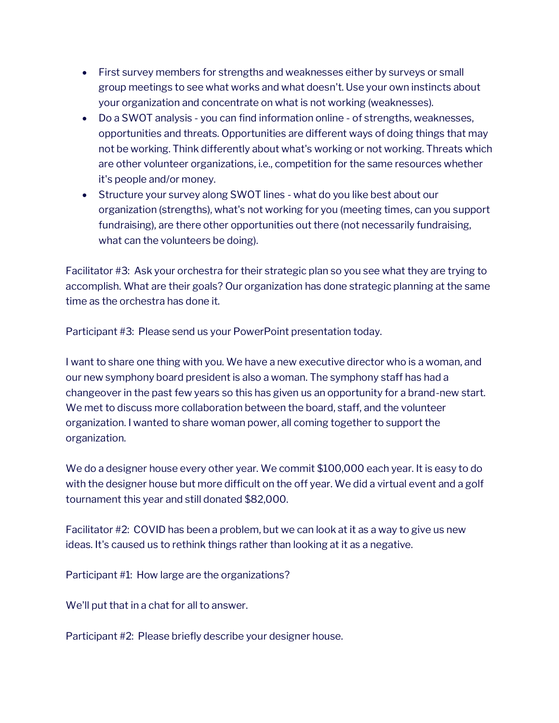- First survey members for strengths and weaknesses either by surveys or small group meetings to see what works and what doesn't. Use your own instincts about your organization and concentrate on what is not working (weaknesses).
- Do a SWOT analysis you can find information online of strengths, weaknesses, opportunities and threats. Opportunities are different ways of doing things that may not be working. Think differently about what's working or not working. Threats which are other volunteer organizations, i.e., competition for the same resources whether it's people and/or money.
- Structure your survey along SWOT lines what do you like best about our organization (strengths), what's not working for you (meeting times, can you support fundraising), are there other opportunities out there (not necessarily fundraising, what can the volunteers be doing).

Facilitator #3: Ask your orchestra for their strategic plan so you see what they are trying to accomplish. What are their goals? Our organization has done strategic planning at the same time as the orchestra has done it.

Participant #3: Please send us your PowerPoint presentation today.

I want to share one thing with you. We have a new executive director who is a woman, and our new symphony board president is also a woman. The symphony staff has had a changeover in the past few years so this has given us an opportunity for a brand-new start. We met to discuss more collaboration between the board, staff, and the volunteer organization. I wanted to share woman power, all coming together to support the organization.

We do a designer house every other year. We commit \$100,000 each year. It is easy to do with the designer house but more difficult on the off year. We did a virtual event and a golf tournament this year and still donated \$82,000.

Facilitator #2: COVID has been a problem, but we can look at it as a way to give us new ideas. It's caused us to rethink things rather than looking at it as a negative.

Participant #1: How large are the organizations?

We'll put that in a chat for all to answer.

Participant #2: Please briefly describe your designer house.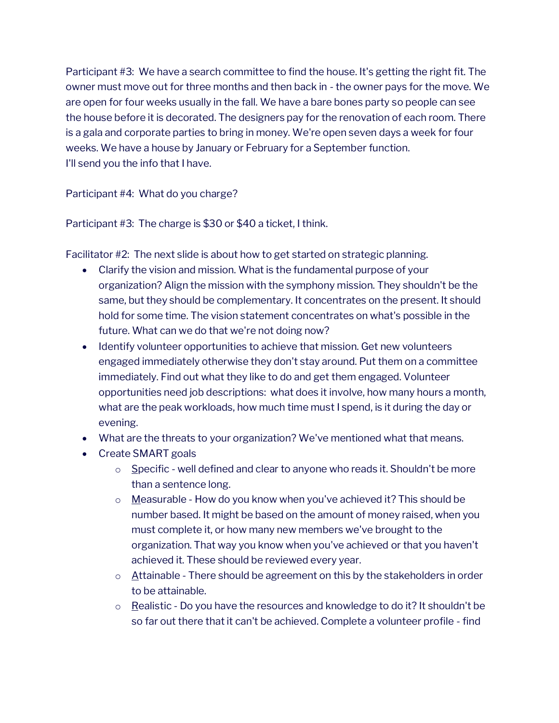Participant #3: We have a search committee to find the house. It's getting the right fit. The owner must move out for three months and then back in - the owner pays for the move. We are open for four weeks usually in the fall. We have a bare bones party so people can see the house before it is decorated. The designers pay for the renovation of each room. There is a gala and corporate parties to bring in money. We're open seven days a week for four weeks. We have a house by January or February for a September function. I'll send you the info that I have.

Participant #4: What do you charge?

Participant #3: The charge is \$30 or \$40 a ticket, I think.

Facilitator #2: The next slide is about how to get started on strategic planning.

- Clarify the vision and mission. What is the fundamental purpose of your organization? Align the mission with the symphony mission. They shouldn't be the same, but they should be complementary. It concentrates on the present. It should hold for some time. The vision statement concentrates on what's possible in the future. What can we do that we're not doing now?
- Identify volunteer opportunities to achieve that mission. Get new volunteers engaged immediately otherwise they don't stay around. Put them on a committee immediately. Find out what they like to do and get them engaged. Volunteer opportunities need job descriptions: what does it involve, how many hours a month, what are the peak workloads, how much time must I spend, is it during the day or evening.
- What are the threats to your organization? We've mentioned what that means.
- Create SMART goals
	- $\circ$  Specific well defined and clear to anyone who reads it. Shouldn't be more than a sentence long.
	- $\circ$  Measurable How do you know when you've achieved it? This should be number based. It might be based on the amount of money raised, when you must complete it, or how many new members we've brought to the organization. That way you know when you've achieved or that you haven't achieved it. These should be reviewed every year.
	- $\circ$  Attainable There should be agreement on this by the stakeholders in order to be attainable.
	- $\circ$  Realistic Do you have the resources and knowledge to do it? It shouldn't be so far out there that it can't be achieved. Complete a volunteer profile - find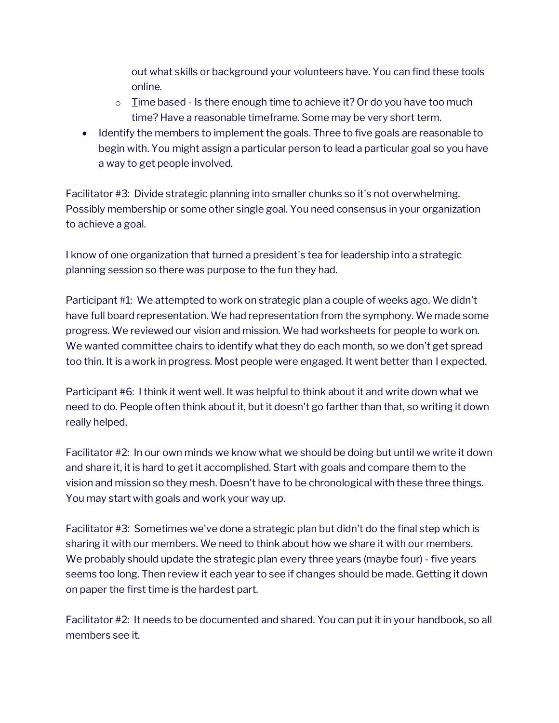out what skills or background your volunteers have. You can find these tools online.

- $\circ$  I ime based Is there enough time to achieve it? Or do you have too much time? Have a reasonable timeframe. Some may be very short term.
- Identify the members to implement the goals. Three to five goals are reasonable to begin with. You might assign a particular person to lead a particular goal so you have a way to get people involved.

Facilitator #3: Divide strategic planning into smaller chunks so it's not overwhelming. Possibly membership or some other single goal. You need consensus in your organization to achieve a goal.

I know of one organization that turned a president's tea for leadership into a strategic planning session so there was purpose to the fun they had.

Participant #1: We attempted to work on strategic plan a couple of weeks ago. We didn't have full board representation. We had representation from the symphony. We made some progress. We reviewed our vision and mission. We had worksheets for people to work on. We wanted committee chairs to identify what they do each month, so we don't get spread too thin. It is a work in progress. Most people were engaged. It went better than I expected.

Participant #6: I think it went well. It was helpful to think about it and write down what we need to do. People often think about it, but it doesn't go farther than that, so writing it down really helped.

Facilitator #2: In our own minds we know what we should be doing but until we write it down and share it, it is hard to get it accomplished. Start with goals and compare them to the vision and mission so they mesh. Doesn't have to be chronological with these three things. You may start with goals and work your way up.

Facilitator #3: Sometimes we've done a strategic plan but didn't do the final step which is sharing it with our members. We need to think about how we share it with our members. We probably should update the strategic plan every three years (maybe four) - five years seems too long. Then review it each year to see if changes should be made. Getting it down on paper the first time is the hardest part.

Facilitator #2: It needs to be documented and shared. You can put it in your handbook, so all members see it.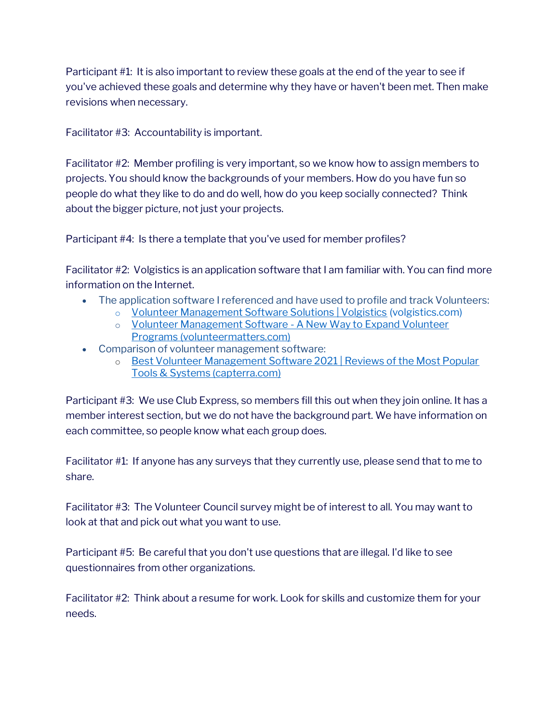Participant #1: It is also important to review these goals at the end of the year to see if you've achieved these goals and determine why they have or haven't been met. Then make revisions when necessary.

Facilitator #3: Accountability is important.

Facilitator #2: Member profiling is very important, so we know how to assign members to projects. You should know the backgrounds of your members. How do you have fun so people do what they like to do and do well, how do you keep socially connected? Think about the bigger picture, not just your projects.

Participant #4: Is there a template that you've used for member profiles?

Facilitator #2: Volgistics is an application software that I am familiar with. You can find more information on the Internet.

- The application software I referenced and have used to profile and track Volunteers:
	- o [Volunteer Management Software Solutions | Volgistics](https://www.volgistics.com/) (volgistics.com)
	- o [Volunteer Management Software -](https://volunteermatters.com/) A New Way to Expand Volunteer [Programs \(volunteermatters.com\)](https://volunteermatters.com/)
- Comparison of volunteer management software:
	- o Best Volunteer Management Software 2021 | Reviews of the Most Popular [Tools & Systems \(capterra.com\)](https://www.capterra.com/volunteer-management-software/)

Participant #3: We use Club Express, so members fill this out when they join online. It has a member interest section, but we do not have the background part. We have information on each committee, so people know what each group does.

Facilitator #1: If anyone has any surveys that they currently use, please send that to me to share.

Facilitator #3: The Volunteer Council survey might be of interest to all. You may want to look at that and pick out what you want to use.

Participant #5: Be careful that you don't use questions that are illegal. I'd like to see questionnaires from other organizations.

Facilitator #2: Think about a resume for work. Look for skills and customize them for your needs.